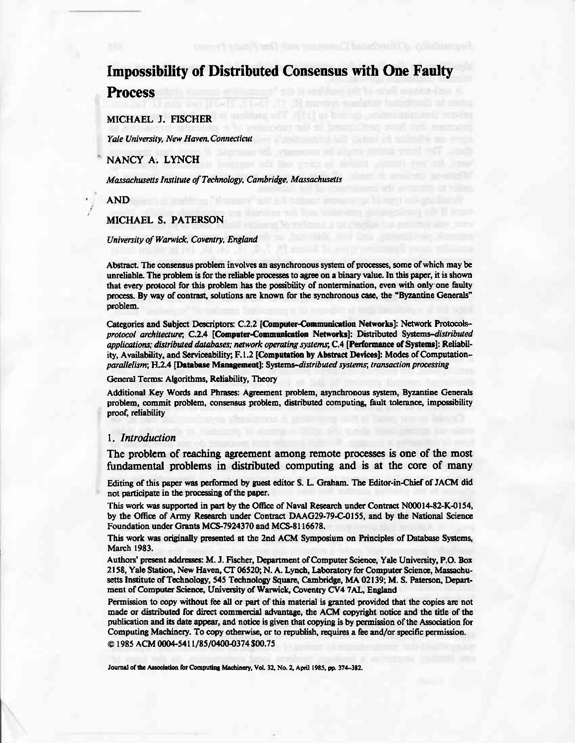# **Impossibility of Distributed Consensus with One Faulty Process**

MICHAEL J. FISCHER

Yale University, New Haven, Connecticut

NANCY A. LYNCH

Massachusetts Institute of Technology, Cambridge, Massachusetts

AND

MICHAEL S. PATERSON

University of Warwick, Coventry, England

Abstract. The consensus problem involves an asynchronous system of processes, some of which may be unreliable. The problem is for the reliable processes to agree on a binary value. In this paper, it is shown that every protocol for this problem has the possibility of nontermination, even with only one faulty process. By way of contrast, solutions are known for the synchronous case, the "Byzantine Generals" problem.

Categories and Subject Descriptors: C.2.2 [Computer-Communication Networks]: Network Protocolsprotocol architecture; C.2.4 [Computer-Communication Networks]: Distributed Systems-distributed applications; distributed databases; network operating systems; C.4 [Performance of Systems]: Reliability, Availability, and Serviceability; F.1.2 [Computation by Abstract Devices]: Modes of Computationparallelism; H.2.4 [Database Management]: Systems-distributed systems; transaction processing

General Terms: Algorithms, Reliability, Theory

Additional Key Words and Phrases: Agreement problem, asynchronous system, Byzantine Generals problem, commit problem, consensus problem, distributed computing, fault tolerance, impossibility proof, reliability

## 1. Introduction

The problem of reaching agreement among remote processes is one of the most fundamental problems in distributed computing and is at the core of many

Editing of this paper was performed by guest editor S. L. Graham. The Editor-in-Chief of JACM did not participate in the processing of the paper.

This work was supported in part by the Office of Naval Research under Contract N00014-82-K-0154, by the Office of Army Research under Contract DAAG29-79-C-0155, and by the National Science Foundation under Grants MCS-7924370 and MCS-8116678.

This work was originally presented at the 2nd ACM Symposium on Principles of Database Systems, March 1983.

Authors' present addresses: M. J. Fischer, Department of Computer Science, Yale University, P.O. Box 2158, Yale Station, New Haven, CT 06520; N. A. Lynch, Laboratory for Computer Science, Massachusetts Institute of Technology, 545 Technology Square, Cambridge, MA 02139; M. S. Paterson, Department of Computer Science, University of Warwick, Coventry CV4 7AL, England

Permission to copy without fee all or part of this material is granted provided that the copies are not made or distributed for direct commercial advantage, the ACM copyright notice and the title of the publication and its date appear, and notice is given that copying is by permission of the Association for Computing Machinery. To copy otherwise, or to republish, requires a fee and/or specific permission. © 1985 ACM 0004-5411/85/0400-0374 \$00.75

Journal of the Association for Computing Machinery, Vol. 32, No. 2, April 1985, pp. 374-382.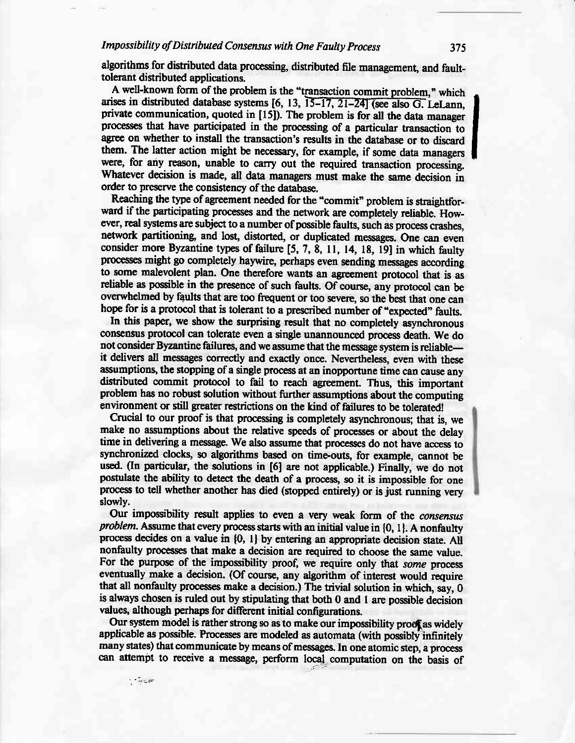# Impossibility of Distributed Consensus with One Faulty Process

algorithms for distributed data processing, distributed file management, and faulttolerant distributed applications.

A well-known form of the problem is the "transaction commit problem," which arises in distributed database systems [6, 13, 15–17, 21–24] (see also G. LeLann. private communication, quoted in [15]). The problem is for all the data manager processes that have participated in the processing of a particular transaction to agree on whether to install the transaction's results in the database or to discard them. The latter action might be necessary, for example, if some data managers were, for any reason, unable to carry out the required transaction processing. Whatever decision is made, all data managers must make the same decision in order to preserve the consistency of the database.

Reaching the type of agreement needed for the "commit" problem is straightforward if the participating processes and the network are completely reliable. However, real systems are subject to a number of possible faults, such as process crashes, network partitioning, and lost, distorted, or duplicated messages. One can even consider more Byzantine types of failure [5, 7, 8, 11, 14, 18, 19] in which faulty processes might go completely haywire, perhaps even sending messages according to some malevolent plan. One therefore wants an agreement protocol that is as reliable as possible in the presence of such faults. Of course, any protocol can be overwhelmed by faults that are too frequent or too severe, so the best that one can hope for is a protocol that is tolerant to a prescribed number of "expected" faults.

In this paper, we show the surprising result that no completely asynchronous consensus protocol can tolerate even a single unannounced process death. We do not consider Byzantine failures, and we assume that the message system is reliableit delivers all messages correctly and exactly once. Nevertheless, even with these assumptions, the stopping of a single process at an inopportune time can cause any distributed commit protocol to fail to reach agreement. Thus, this important problem has no robust solution without further assumptions about the computing environment or still greater restrictions on the kind of failures to be tolerated!

Crucial to our proof is that processing is completely asynchronous; that is, we make no assumptions about the relative speeds of processes or about the delay time in delivering a message. We also assume that processes do not have access to synchronized clocks, so algorithms based on time-outs, for example, cannot be used. (In particular, the solutions in [6] are not applicable.) Finally, we do not postulate the ability to detect the death of a process, so it is impossible for one process to tell whether another has died (stopped entirely) or is just running very slowly.

Our impossibility result applies to even a very weak form of the consensus problem. Assume that every process starts with an initial value in {0, 1}. A nonfaulty process decides on a value in {0, 1} by entering an appropriate decision state. All nonfaulty processes that make a decision are required to choose the same value. For the purpose of the impossibility proof, we require only that some process eventually make a decision. (Of course, any algorithm of interest would require that all nonfaulty processes make a decision.) The trivial solution in which, say, 0 is always chosen is ruled out by stipulating that both 0 and 1 are possible decision values, although perhaps for different initial configurations.

Our system model is rather strong so as to make our impossibility proof as widely applicable as possible. Processes are modeled as automata (with possibly infinitely many states) that communicate by means of messages. In one atomic step, a process can attempt to receive a message, perform local computation on the basis of

 $\mathcal{L} = \frac{1}{2} \frac{1}{2} \frac{1}{2} \frac{1}{2} \frac{1}{2} \frac{1}{2} \frac{1}{2} \frac{1}{2} \frac{1}{2} \frac{1}{2} \frac{1}{2} \frac{1}{2} \frac{1}{2} \frac{1}{2} \frac{1}{2} \frac{1}{2} \frac{1}{2} \frac{1}{2} \frac{1}{2} \frac{1}{2} \frac{1}{2} \frac{1}{2} \frac{1}{2} \frac{1}{2} \frac{1}{2} \frac{1}{2} \frac{1}{2} \frac{1}{2} \frac{1}{2} \frac{1}{2} \frac{$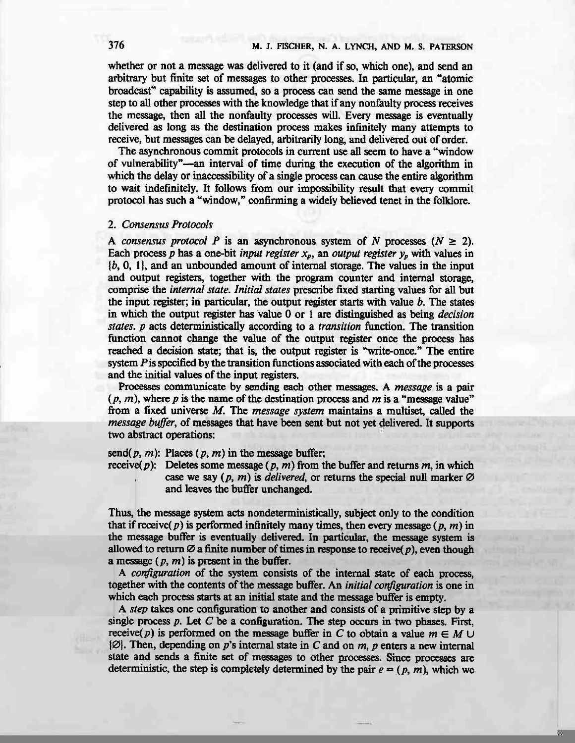whether or not a message was delivered to it (and if so, which one), and send an arbitrary but finite set of messages to other processes. In particular, an "atomic broadcast" capability is assumed, so a process can send the same message in one step to all other processes with the knowledge that if any nonfaulty process receives the message, then all the nonfaulty processes will. Every message is eventually delivered as long as the destination process makes infinitely many attempts to receive, but messages can be delayed, arbitrarily long and delivered out of order.

The asynchronous commit protocols in current use all seem to have a "window of wlnerability"-an interval of time during the execution of the algorithm in which the delay or inaccessibility of a single process can cause the entire algorithm to wait indefinitely. It follows from our impossibility result that every commit protocol has such a "window," confirming a widely believed tenct in the folHore.

#### 2. Consensus Protocols

A consensus protocol P is an asynchronous system of N processes ( $N \ge 2$ ). Each process p has a one-bit *input register*  $x_p$ , an *output register*  $y_p$  with values in  $\{b, 0, 1\}$ , and an unbounded amount of internal storage. The values in the input and output registers, together with the program counter and intemal storage, comprise the *internal state. Initial states* prescribe fixed starting values for all but the input register; in particular, the output register starts with value  $b$ . The states in which the output register has value 0 or 1 are distinguished as being *decision* states. p acts deterministically according to a *transition* function. The transition function cannot change the value of the output register once the process has reached a decision state; that is, the output register is "write-once." The entire system  $P$  is specified by the transition functions associated with each of the processes and the initial values of the input registers.

Processes communicate by sending each other messages. A message is a pair  $(p, m)$ , where p is the name of the destination process and m is a "message value" from a fixed universe M. The *message system* maintains a multiset, called the message buffer, of messages that have been sent but not yet delivered. It supports two abstract operations:

send(p, m): Places (p, m) in the message buffer;

receive(p): Deletes some message (p, m) from the buffer and returns m, in which case we say  $(p, m)$  is *delivered*, or returns the special null marker  $\varnothing$ and leaves the buffer unchanged.

Thus, the message system acts nondeterministically, subject only to the condition that if receive(p) is performed infinitely many times, then every message (p, m) in the message buffer is eventually delivered. In particular, the message system is allowed to return  $\emptyset$  a finite number of times in response to receive(p), even though a message  $(p, m)$  is present in the buffer.

A *configuration* of the system consists of the internal state of each process, together with the contents of the message buffer. An *initial configuration* is one in which each process starts at an initial state and the message buffer is empty.

A *step* takes one configuration to another and consists of a primitive step by a single process p. Let C be a configuration. The step occurs in two phases. First, receive(p) is performed on the message buffer in C to obtain a value  $m \in M \cup$  $[Ø]$ . Then, depending on p's internal state in C and on m, p enters a new internal state and sends a finite set of messages to other processes. Since processes are deterministic, the step is completely determined by the pair  $e = (p, m)$ , which we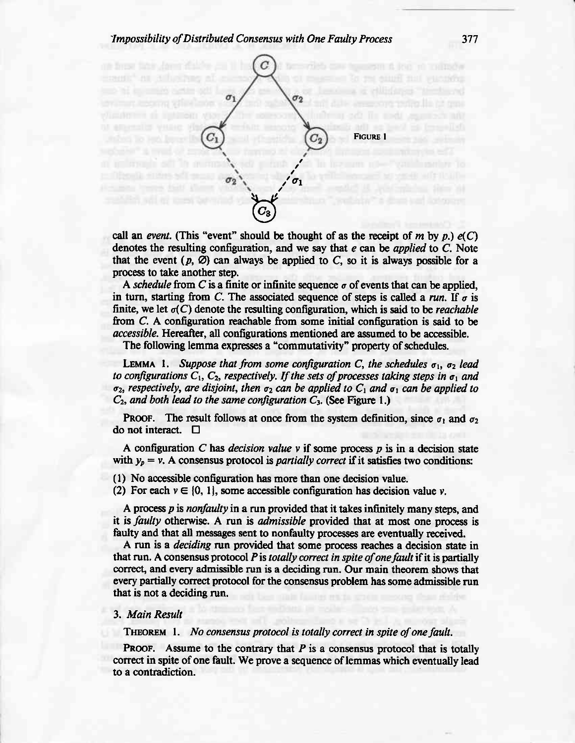# ^Impossibility of Distributed Consensus with One Faulty Process <sup>377</sup>



call an event. (This "event" should be thought of as the receipt of m by p.)  $e(C)$ denotes the resulting configuration, and we say that  $e$  can be *applied* to  $C$ . Note that the event  $(p, \emptyset)$  can always be applied to C, so it is always possible for a process to take another step.

A schedule from C is a finite or infinite sequence  $\sigma$  of events that can be applied. in turn, starting from C. The associated sequence of steps is called a run. If  $\sigma$  is finite, we let  $\sigma(C)$  denote the resulting configuration, which is said to be *reachable* from C. A configuration reachable from some initial configuration is said to be accessible. Hereafter, all configurations mentioned are assumed to be accessible,

The following lemma expresses a "commutativity" property of schedules.

LEMMA 1. Suppose that from some configuration C, the schedules  $\sigma_1$ ,  $\sigma_2$  lead to configurations  $C_1$ ,  $C_2$ , respectively. If the sets of processes taking steps in  $\sigma_1$  and  $\sigma_2$ , respectively, are disjoint, then  $\sigma_2$  can be applied to  $C_1$  and  $\sigma_1$  can be applied to  $C_2$ , and both lead to the same configuration  $C_3$ . (See Figure 1.)

**PROOF.** The result follows at once from the system definition, since  $\sigma_1$  and  $\sigma_2$ do not interact.  $\Box$ 

A configuration C has *decision value*  $\nu$  if some process  $p$  is in a decision state with  $y_p = v$ . A consensus protocol is *partially correct* if it satisfies two conditions:

(1) No accessible configuration has more than one decision value.

(2) For each  $v \in \{0, 1\}$ , some accessible configuration has decision value v.

A process  $p$  is *nonfaulty* in a run provided that it takes infinitely many steps, and A process  $p$  is *nonjumly* in a run provided that it takes minitely many steps, and it is *faulty* otherwise. A run is *admissible* provided that at most one process is faulty and that all messages sent to nonfaulty processes are evortually received.

A run is a *deciding* run provided that some process reaches a decision state in that run. A consensus protocol P is *totally correct in spite of one fault* if it is partially correct, and every admissible run is a deciding run. Our main theorem shows that every partially correct protocol for the consensus problem has some admissible run that is not a deciding run.

## 3. Main Result

THEOREM 1. No consensus protocol is totally correct in spite of one fault.

**PROOF.** Assume to the contrary that  $P$  is a consensus protocol that is totally correct in spite of one fault. We prove a sequence of lemmas which eventually lead to a contradiction.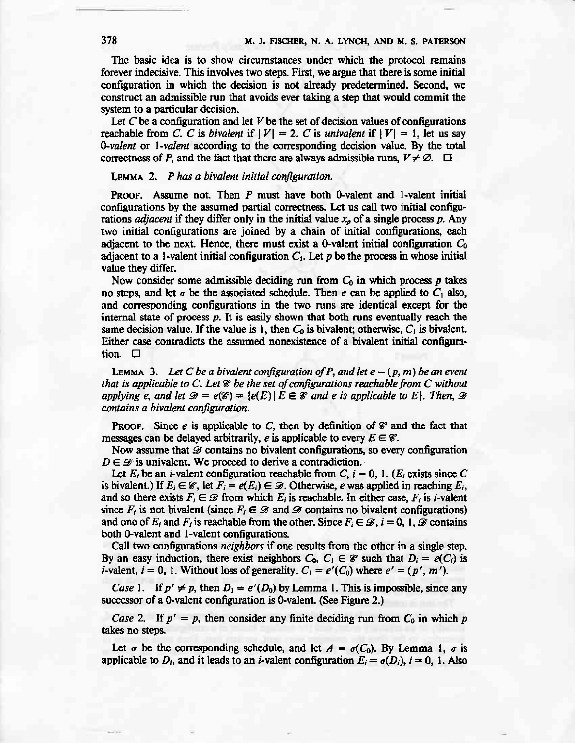The basic idea is to show circumstances under which the protocol remains forever indecisive. This involves two steps. First, we argue that there is some initial configuration in which the decision is not already predetermined. Second, we construct an admisible run that avoids ever taking a step that would commit the system to a particular decision.

Let C be a configuration and let V be the set of decision values of configurations reachable from C. C is *bivalent* if  $|V| = 2$ . C is univalent if  $|V| = 1$ , let us say  $0$ -valent or 1-valent according to the corresponding decision value. By the total correctness of P, and the fact that there are always admissible runs,  $V \neq \emptyset$ .  $\Box$ 

## LEMMA 2.  $P$  has a bivalent initial configuration.

**PROOF.** Assume not. Then  $P$  must have both 0-valent and 1-valent initial configurations by the assumed partial correctness. Let us call two initial configurations *adjacent* if they differ only in the initial value  $x_p$  of a single process p. Any two initial configurations are joined by a chain of initial configurations, each adjacent to the next. Hence, there must exist a 0-valent initial configuration  $C_0$ adjacent to a 1-valent initial configuration  $C_1$ . Let p be the process in whose initial value they differ,

Now consider some admissible deciding run from  $C_0$  in which process p takes no steps, and let  $\sigma$  be the associated schedule. Then  $\sigma$  can be applied to  $C_1$  also, and corresponding configurations in the two runs are identical except for the internal state of process p. It is easily shown that both runs eventually reach the same decision value. If the value is 1, then  $C_0$  is bivalent; otherwise,  $C_1$  is bivalent. Either case contradicts the assumed nonexistence of a bivalent initial configuration. E

LEMMA 3. Let C be a bivalent configuration of P, and let  $e = (p, m)$  be an event that is applicable to C. Let  $\mathcal C$  be the set of configurations reachable from C without applying e, and let  $\mathcal{D} = e(\mathcal{C}) = \{e(E) | E \in \mathcal{C} \text{ and } e \text{ is applicable to } E\}.$  Then,  $\mathcal{D}$ contains a bivalent configuration.

**PROOF.** Since e is applicable to C, then by definition of  $\mathscr{C}$  and the fact that messages can be delayed arbitrarily, e is applicable to every  $E \in \mathcal{C}$ .

Now assume that  $\mathscr D$  contains no bivalent configurations, so every configuration  $D \in \mathcal{D}$  is univalent. We proceed to derive a contradiction.

Let  $E_i$  be an *i*-valent configuration reachable from C,  $i = 0, 1$ . ( $E_i$  exists since C is bivalent.) If  $E_i \in \mathcal{C}$ , let  $F_i = e(E_i) \in \mathcal{D}$ . Otherwise, e was applied in reaching  $E_i$ , and so there exists  $F_i \in \mathcal{D}$  from which  $E_i$  is reachable. In either case,  $F_i$  is *i*-valent since  $F_i$  is not bivalent (since  $F_i \in \mathcal{D}$  and  $\mathcal{D}$  contains no bivalent configurations) and one of  $E_i$  and  $F_i$  is reachable from the other. Since  $F_i \in \mathcal{D}$ ,  $i = 0, 1, \mathcal{D}$  contains both 0-valent and 1-valent configurations.

Call two configurations neighbors if one results from the other in a single step. By an easy induction, there exist neighbors  $C_0$ ,  $C_1 \in \mathcal{C}$  such that  $D_i = e(C_i)$  is *i*-valent,  $i = 0$ , 1. Without loss of generality,  $C_1 = e'(C_0)$  where  $e' = (p', m')$ .

*Case* 1. If  $p' \neq p$ , then  $D_1 = e'(D_0)$  by Lemma 1. This is impossible, since any successor of a 0-valent configuration is 0-valent. (See Figure 2.)

Case 2. If  $p' = p$ , then consider any finite deciding run from  $C_0$  in which p takes no steps.

Let  $\sigma$  be the corresponding schedule, and let  $A = \sigma(C_0)$ . By Lemma 1,  $\sigma$  is applicable to  $D_i$ , and it leads to an *i*-valent configuration  $E_i = \sigma(D_i)$ ,  $i = 0, 1$ . Also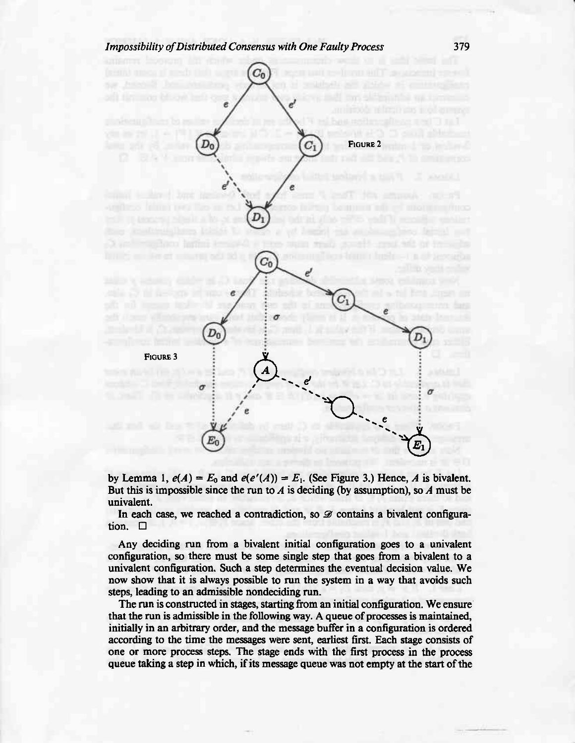# Impossibility of Distributed Consensus with One Faulty Process



by Lemma 1,  $e(A) = E_0$  and  $e(e'(A)) = E_1$ . (See Figure 3.) Hence, A is bivalent. But this is impossible since the run to  $\Lambda$  is deciding (by assumption), so  $\Lambda$  must be univalent.

In each case, we reached a contradiction, so  $\mathscr{D}$  contains a bivalent configuration.  $\Box$ 

Any deciding run from a bivalent initial configuration goes to a univalent configuration, so lhere must be some single step that goes from a bivalent to a univalent configuration. Such a step determines the eventual decision value. We now show that it is always possible to run the system in a way that avoids such steps, leading to an admissible nondeciding run.

The run is constructed in stages, starting from an initial configuration. We ensure that the run is admissible in tbe following way. A queue of processes is maintained, initially in an arbitrary order, and the message buffer in a configuration is ordered according to the time the mesages were sent, anliest first. Each stage consists of one or more process steps. The stage ends with the first process in the process queue taking a step in which, if its message queue was not empty at the start of the

379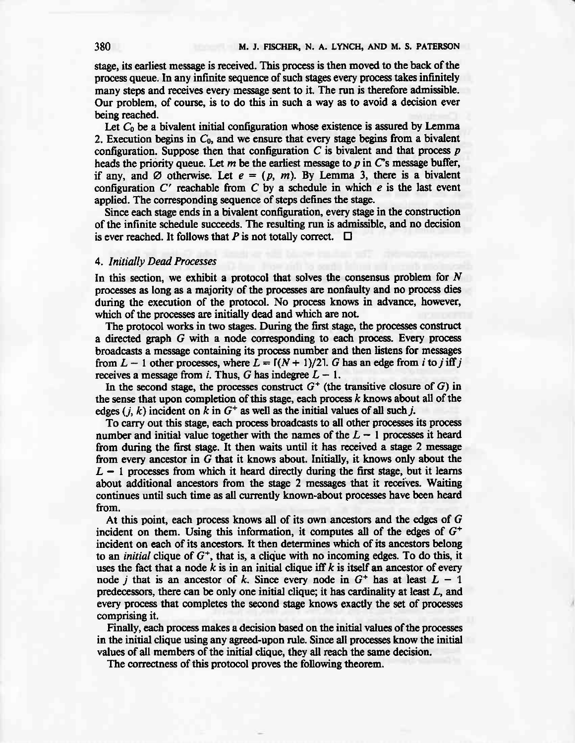stage, its earliest message is received. This process is then moved to the back of the process queue. In any infinite sequence of such stages every proces takes infinitely many steps and receives every message sent to it. The run is therefore admissible. Our problem, of course, is to do this in such a way as to avoid a decision ever being reached.

Let  $C_0$  be a bivalent initial configuration whose existence is assured by Lemma 2. Execution begins in  $C_0$ , and we ensure that every stage begins from a bivalent configuration. Suppose then that configuration  $C$  is bivalent and that process  $p$ heads the priority queue. Let m be the earliest message to p in  $\mathbb{C}^s$  message buffer, if any, and  $\emptyset$  otherwise. Let  $e = (p, m)$ . By Lemma 3, there is a bivalent configuration  $C'$  reachable from  $C$  by a schedule in which  $e$  is the last event applied. The corresponding sequence of steps defines the stage.

Since each stage ends in a bivalent configuration, every stage in the construction of the infinite schedule succeeds. The resulting run is admissible, and no decision is ever reached. It follows that P is not totally correct.  $\Box$ 

### 4. Initially Dead Processes

In this section, we exhibit a protocol that solves the consensus problem for  $N$ processes as long as a majority of the processes are nonfaulty and no proces dies during the execution of the protocol. No proces knows in advance, however, which of the processes are initially dead and which are not.

The protocol works in two stages. During the fint stage, the processes construct a directed graph G with a node corresponding to each process. Every process broadcasts a message containing its process number and then listens for messages from  $L - 1$  other processes, where  $L = \frac{\Gamma(N + 1)}{21}$ . G has an edge from ito jiff j receives a message from i. Thus, G has indegree  $L - 1$ .

In the second stage, the processes construct  $G^+$  (the transitive closure of G) in the sense that upon completion of this stage, each process  $k$  knows about all of the edges (*j*, *k*) incident on k in  $G^+$  as well as the initial values of all such *j*.

To carry out this stagg each process broadcasts io all other processes its process number and initial value together with the names of the  $L - 1$  processes it heard from during the first stage. It then waits until it has received a stage 2 message from every ancestor in  $G$  that it knows about. Initially, it knows only about the  $L - 1$  processes from which it heard directly during the first stage, but it learns about additional ancestors from the stage 2 messages that it receives. Waiting continues until such time as all currently known-about processes have been heard from.

At this point, each process knows all of its own ancestors and the edges of  $G$ incident on them. Using this information, it computes all of the edges of  $G^+$ incident on each of its ancestors. It then determines which of its ancestors belong to an *initial* clique of  $G^+$ , that is, a clique with no incoming edges. To do this, it uses the fact that a node  $k$  is in an initial clique iff  $k$  is itself an ancestor of every node j that is an ancestor of k. Since every node in  $G^+$  has at least  $L - 1$ predecessors, there can be only one initial clique; it has cardinality at least L, and every process that completes the second stage knows exactly the set of processes comprising it.

Finally, each process makes a decision based on the initial values of the processes in rhe initial clique using any agreed-upon rule. Since all processes know the initial values of all members of the initial clique, they all reach the same decision.

The correctness of this protocol proves the following theorem.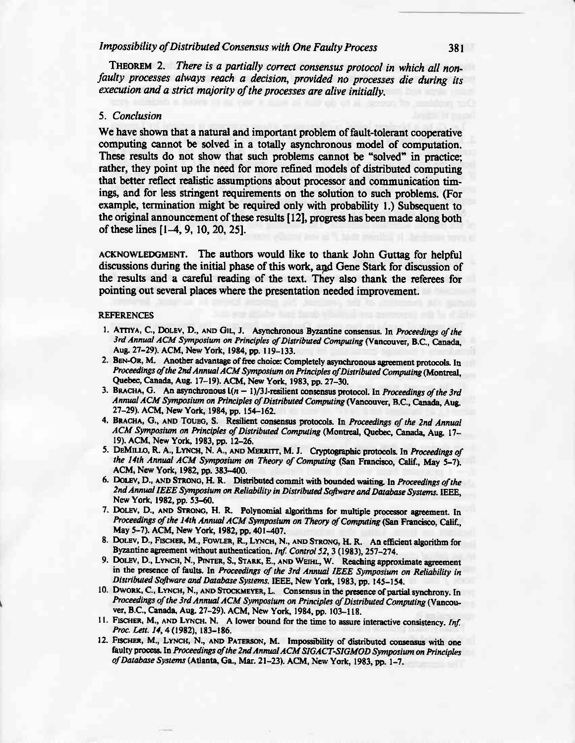# Impossibility of Distributed Consensus with One Faulty Process 381

THEOREM 2. There is a partially correct consensus protocol in which all nonfaulty processes always reach a decision, provided no processes die during its execution and a strict majority of the processes are alive initially.

### 5. Conclusion

We have shown that a natural and important problem of fault-tolerant cooperative computing cannot be solved in a totally asynchronous model of computation. These results do not show that such problems cannot be "solved" in practice; rather, they point up the need for more refined models of distributed computing that better reflect realistic assumptions about processor and communication timings, and for less stringent requirements on the solution to such problems. (For example, termination might be required only with probability 1.) Subsequent to the original announcement of these results [12], progress has been made along both of these lines  $[1-4, 9, 10, 20, 25]$ .

ACKNOWLEDGMENT. The authors would like to thank John Guttag for helpful discusions during the initial phase of this work, aqd Gene Stark for discussion of the results and a careful reading of the text. They also thank the referees for pointing out several places where the presentation needed improvement.

#### REFERENCES

- 1. ATTIYA, C., DOLEV, D., AND GIL, J. Asynchronous Byzantine consensus. In Proceedings of the 3rd Annual ACM Symposium on Principles of Distributed Computing (Vancouver, B.C., Canada, Aug. 27-29). ACM, New York, 1984, pp. 119-133.
- 2. BEN-OR, M. Another advantage of free choice: Completely asynchronous agreement protocols. In Proceedings of the 2nd Annual ACM Symposium on Principles of Distributed Computing (Montreal, Quebec, Canada, Aug. 17-19). ACM, New York, 1983, pp. 27-30.
- 3. BRACHA, G. An asynchronous  $l(n 1)/3$  resilient consensus protocol. In *Proceedings of the 3rd* Annual ACM Symposium on Principles of Distributed Computing (Vancouver, B.C., Canada, Aug. 27-29). ACM, New York, 1984, pp. 154-162.
- 4. BRACHA, G., AND TOUEG, S. Resilient consensus protocols. In Proceedings of the 2nd Annual ACM Symposium on Principles of Distributed Computing (Montreal, Quebec, Canada, Aug. 17-19). ACM, New York, 1983, pp. 12-26.
- 5. DEMILLO, R. A., LYNCH, N. A., AND MERRITT, M. J. Cryptographic protocols. In Proceedings of the 14th Annual ACM Symposium on Theory of Computing (San Francisco, Calif., May 5-7). ACM, New York, 1982, pp. 3E3-400.
- 6. DOLEV, D., AND STRONG, H. R. Distributed commit with bounded waiting. In Proceedings of the 2nd Annual IEEE Symposium on Reliability in Distributed Software and Database Systems. IEEE, New York, 1982, pp. 53-60.
- 7. DOLEV, D., AND STRONG, H. R. Polynomial algorithms for multiple processor agreement. In Proceedings of the 14th Annual ACM Symposium on Theory of Computing (San Francisco, Calif., May 5-7). ACM, New York, 1982, pp. 401-407.
- 8. DOLEV, D., FISCHER, M., FOWLER, R., LYNCH, N., AND STRONG, H. R. An efficient algorithm for Byzantine agreement without authentication. Inf. Control 52, 3 (1983), 257-274.
- 9. DOLEV, D., LYNCH, N., PINTER, S., STARK, E., AND WEIHL, W. Reaching approximate agreement in the presence of faults. In Proceedings of the 3rd Annual IEEE Symposium on Reliability in Distributed Software and Database Systems. IEEE, New York, 1983, pp. 145-154.
- 10. DWORK, C., LYNCH, N., AND STOCKMEYER, L. Consensus in the presence of partial synchrony. In Proceedings of the 3rd Annual ACM Symposium on Principles of Distributed Computing (Vancouver, B.C., Canada, Aug. 27-29). ACM, New York, 1984, pp. 103-118.
- II. FISCHER, M., AND LYNCH. N. A lower bound for the time to assure interactive consistency. Inf. Proc. Lett. 14, 4 (1982), 183-186.
- 12. FISCHER, M., LYNCH, N., AND PATERSON, M. Impossibility of distributed consensus with one faulty process. In Proceedings of the 2nd Annual ACM SIGACT-SIGMOD Symposium on Principles of Database Systems (Atlanta, Ga., Mar. 21-23). ACM, New York, 1983, pp. 1-7.